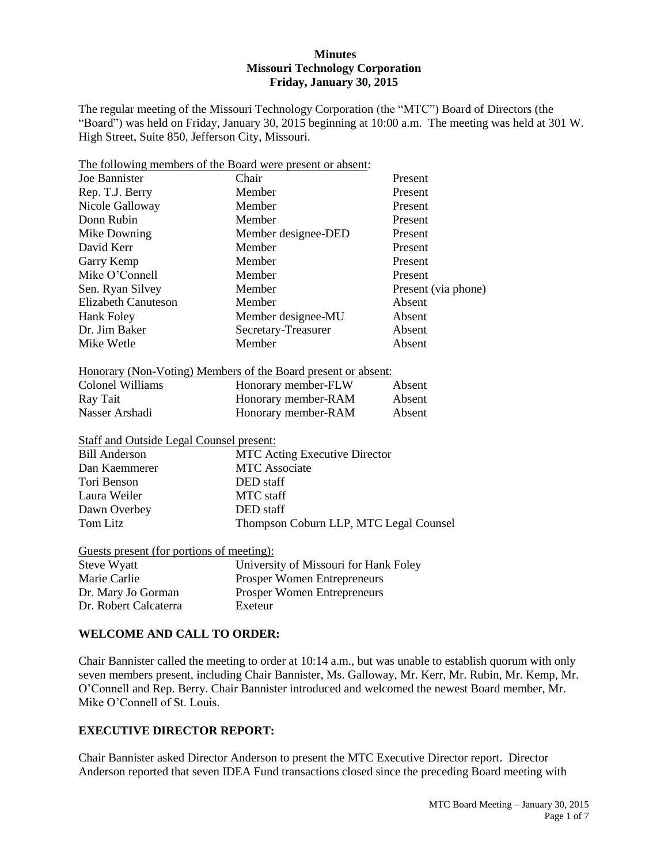### **Minutes Missouri Technology Corporation Friday, January 30, 2015**

The regular meeting of the Missouri Technology Corporation (the "MTC") Board of Directors (the "Board") was held on Friday, January 30, 2015 beginning at 10:00 a.m. The meeting was held at 301 W. High Street, Suite 850, Jefferson City, Missouri.

|                                                 | The following members of the Board were present or absent:                                                                                                                                                                           |                     |  |
|-------------------------------------------------|--------------------------------------------------------------------------------------------------------------------------------------------------------------------------------------------------------------------------------------|---------------------|--|
| Joe Bannister                                   | Chair<br>Present                                                                                                                                                                                                                     |                     |  |
| Rep. T.J. Berry                                 | Member                                                                                                                                                                                                                               | Present             |  |
| Nicole Galloway                                 | Member                                                                                                                                                                                                                               | Present             |  |
| Donn Rubin                                      | Member                                                                                                                                                                                                                               | Present             |  |
| Mike Downing                                    | Member designee-DED                                                                                                                                                                                                                  | Present             |  |
| David Kerr                                      | Member                                                                                                                                                                                                                               | Present             |  |
| Garry Kemp                                      | Member                                                                                                                                                                                                                               | Present             |  |
| Mike O'Connell                                  | Member                                                                                                                                                                                                                               | Present             |  |
| Sen. Ryan Silvey                                | Member                                                                                                                                                                                                                               | Present (via phone) |  |
| <b>Elizabeth Canuteson</b>                      | Member                                                                                                                                                                                                                               | Absent              |  |
| <b>Hank Foley</b>                               | Member designee-MU                                                                                                                                                                                                                   | Absent              |  |
| Dr. Jim Baker                                   | Secretary-Treasurer                                                                                                                                                                                                                  | Absent              |  |
| Mike Wetle                                      | Member                                                                                                                                                                                                                               | Absent              |  |
|                                                 | <u>Honorary (Non-Voting) Members of the Board present or absent:</u>                                                                                                                                                                 |                     |  |
| <b>Colonel Williams</b>                         | Honorary member-FLW                                                                                                                                                                                                                  | Absent              |  |
| Ray Tait                                        | Honorary member-RAM                                                                                                                                                                                                                  | Absent              |  |
| Nasser Arshadi                                  | Honorary member-RAM                                                                                                                                                                                                                  | Absent              |  |
| <b>Staff and Outside Legal Counsel present:</b> |                                                                                                                                                                                                                                      |                     |  |
| <b>Bill Anderson</b>                            | <b>MTC</b> Acting Executive Director                                                                                                                                                                                                 |                     |  |
| Dan Kaemmerer                                   | <b>MTC</b> Associate                                                                                                                                                                                                                 |                     |  |
| Tori Benson                                     | DED staff                                                                                                                                                                                                                            |                     |  |
| Laura Weiler                                    | <b>MTC</b> staff                                                                                                                                                                                                                     |                     |  |
| Dawn Overbey                                    | DED staff                                                                                                                                                                                                                            |                     |  |
| <b>Tom Litz</b>                                 | Thompson Coburn LLP, MTC Legal Counsel                                                                                                                                                                                               |                     |  |
| Guests present (for portions of meeting):       |                                                                                                                                                                                                                                      |                     |  |
| Steve Wyatt                                     | <b>Hollar Line Service Service Service Service Service Service Service Service Service Service Service Service Service Service Service Service Service Service Service Service Service Service Service Service Service Service S</b> |                     |  |

| University of Missouri for Hank Foley |
|---------------------------------------|
| <b>Prosper Women Entrepreneurs</b>    |
| <b>Prosper Women Entrepreneurs</b>    |
| Exeteur                               |
|                                       |

### **WELCOME AND CALL TO ORDER:**

Chair Bannister called the meeting to order at 10:14 a.m., but was unable to establish quorum with only seven members present, including Chair Bannister, Ms. Galloway, Mr. Kerr, Mr. Rubin, Mr. Kemp, Mr. O'Connell and Rep. Berry. Chair Bannister introduced and welcomed the newest Board member, Mr. Mike O'Connell of St. Louis.

### **EXECUTIVE DIRECTOR REPORT:**

Chair Bannister asked Director Anderson to present the MTC Executive Director report. Director Anderson reported that seven IDEA Fund transactions closed since the preceding Board meeting with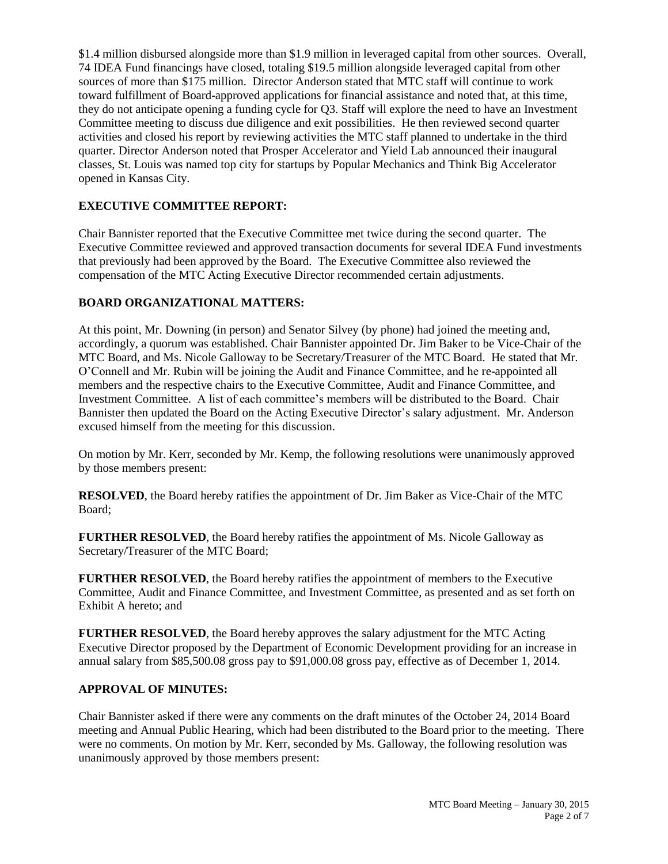\$1.4 million disbursed alongside more than \$1.9 million in leveraged capital from other sources. Overall, 74 IDEA Fund financings have closed, totaling \$19.5 million alongside leveraged capital from other sources of more than \$175 million. Director Anderson stated that MTC staff will continue to work toward fulfillment of Board-approved applications for financial assistance and noted that, at this time, they do not anticipate opening a funding cycle for Q3. Staff will explore the need to have an Investment Committee meeting to discuss due diligence and exit possibilities. He then reviewed second quarter activities and closed his report by reviewing activities the MTC staff planned to undertake in the third quarter. Director Anderson noted that Prosper Accelerator and Yield Lab announced their inaugural classes, St. Louis was named top city for startups by Popular Mechanics and Think Big Accelerator opened in Kansas City.

# **EXECUTIVE COMMITTEE REPORT:**

Chair Bannister reported that the Executive Committee met twice during the second quarter. The Executive Committee reviewed and approved transaction documents for several IDEA Fund investments that previously had been approved by the Board. The Executive Committee also reviewed the compensation of the MTC Acting Executive Director recommended certain adjustments.

# **BOARD ORGANIZATIONAL MATTERS:**

At this point, Mr. Downing (in person) and Senator Silvey (by phone) had joined the meeting and, accordingly, a quorum was established. Chair Bannister appointed Dr. Jim Baker to be Vice-Chair of the MTC Board, and Ms. Nicole Galloway to be Secretary/Treasurer of the MTC Board. He stated that Mr. O'Connell and Mr. Rubin will be joining the Audit and Finance Committee, and he re-appointed all members and the respective chairs to the Executive Committee, Audit and Finance Committee, and Investment Committee. A list of each committee's members will be distributed to the Board. Chair Bannister then updated the Board on the Acting Executive Director's salary adjustment. Mr. Anderson excused himself from the meeting for this discussion.

On motion by Mr. Kerr, seconded by Mr. Kemp, the following resolutions were unanimously approved by those members present:

**RESOLVED**, the Board hereby ratifies the appointment of Dr. Jim Baker as Vice-Chair of the MTC Board;

**FURTHER RESOLVED**, the Board hereby ratifies the appointment of Ms. Nicole Galloway as Secretary/Treasurer of the MTC Board;

**FURTHER RESOLVED**, the Board hereby ratifies the appointment of members to the Executive Committee, Audit and Finance Committee, and Investment Committee, as presented and as set forth on Exhibit A hereto; and

**FURTHER RESOLVED**, the Board hereby approves the salary adjustment for the MTC Acting Executive Director proposed by the Department of Economic Development providing for an increase in annual salary from \$85,500.08 gross pay to \$91,000.08 gross pay, effective as of December 1, 2014.

### **APPROVAL OF MINUTES:**

Chair Bannister asked if there were any comments on the draft minutes of the October 24, 2014 Board meeting and Annual Public Hearing, which had been distributed to the Board prior to the meeting. There were no comments. On motion by Mr. Kerr, seconded by Ms. Galloway, the following resolution was unanimously approved by those members present: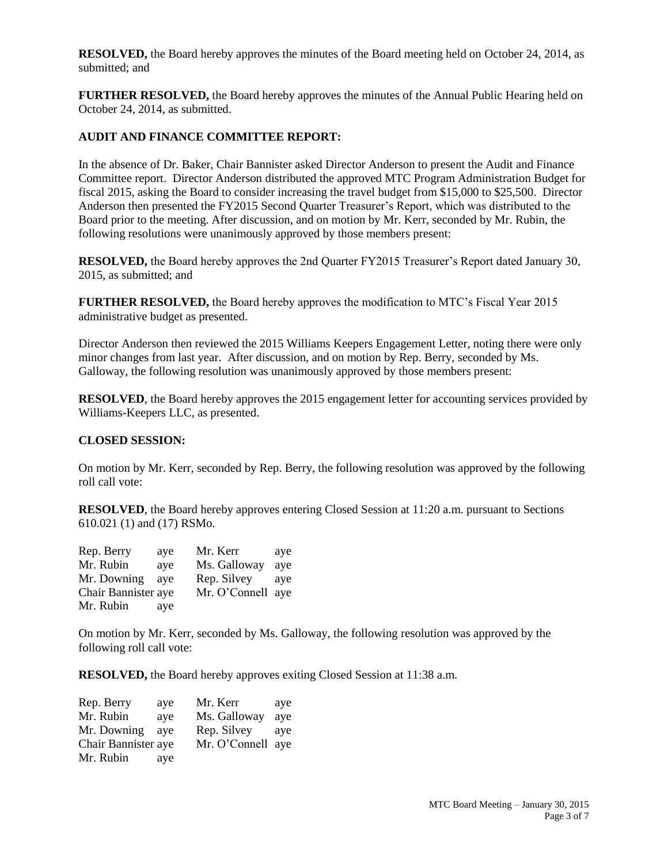**RESOLVED,** the Board hereby approves the minutes of the Board meeting held on October 24, 2014, as submitted; and

**FURTHER RESOLVED,** the Board hereby approves the minutes of the Annual Public Hearing held on October 24, 2014, as submitted.

#### **AUDIT AND FINANCE COMMITTEE REPORT:**

In the absence of Dr. Baker, Chair Bannister asked Director Anderson to present the Audit and Finance Committee report. Director Anderson distributed the approved MTC Program Administration Budget for fiscal 2015, asking the Board to consider increasing the travel budget from \$15,000 to \$25,500. Director Anderson then presented the FY2015 Second Quarter Treasurer's Report, which was distributed to the Board prior to the meeting. After discussion, and on motion by Mr. Kerr, seconded by Mr. Rubin, the following resolutions were unanimously approved by those members present:

**RESOLVED,** the Board hereby approves the 2nd Quarter FY2015 Treasurer's Report dated January 30, 2015, as submitted; and

**FURTHER RESOLVED,** the Board hereby approves the modification to MTC's Fiscal Year 2015 administrative budget as presented.

Director Anderson then reviewed the 2015 Williams Keepers Engagement Letter, noting there were only minor changes from last year. After discussion, and on motion by Rep. Berry, seconded by Ms. Galloway, the following resolution was unanimously approved by those members present:

**RESOLVED**, the Board hereby approves the 2015 engagement letter for accounting services provided by Williams-Keepers LLC, as presented.

#### **CLOSED SESSION:**

On motion by Mr. Kerr, seconded by Rep. Berry, the following resolution was approved by the following roll call vote:

**RESOLVED**, the Board hereby approves entering Closed Session at 11:20 a.m. pursuant to Sections 610.021 (1) and (17) RSMo.

| Rep. Berry          | ave | Mr. Kerr          | ave |
|---------------------|-----|-------------------|-----|
| Mr. Rubin           | ave | Ms. Galloway      | ave |
| Mr. Downing         | ave | Rep. Silvey       | ave |
| Chair Bannister aye |     | Mr. O'Connell aye |     |
| Mr. Rubin           | aye |                   |     |

On motion by Mr. Kerr, seconded by Ms. Galloway, the following resolution was approved by the following roll call vote:

**RESOLVED,** the Board hereby approves exiting Closed Session at 11:38 a.m.

| Rep. Berry          | aye | Mr. Kerr          | aye |
|---------------------|-----|-------------------|-----|
| Mr. Rubin           | ave | Ms. Galloway      | ave |
| Mr. Downing         | ave | Rep. Silvey       | ave |
| Chair Bannister aye |     | Mr. O'Connell aye |     |
| Mr. Rubin           | aye |                   |     |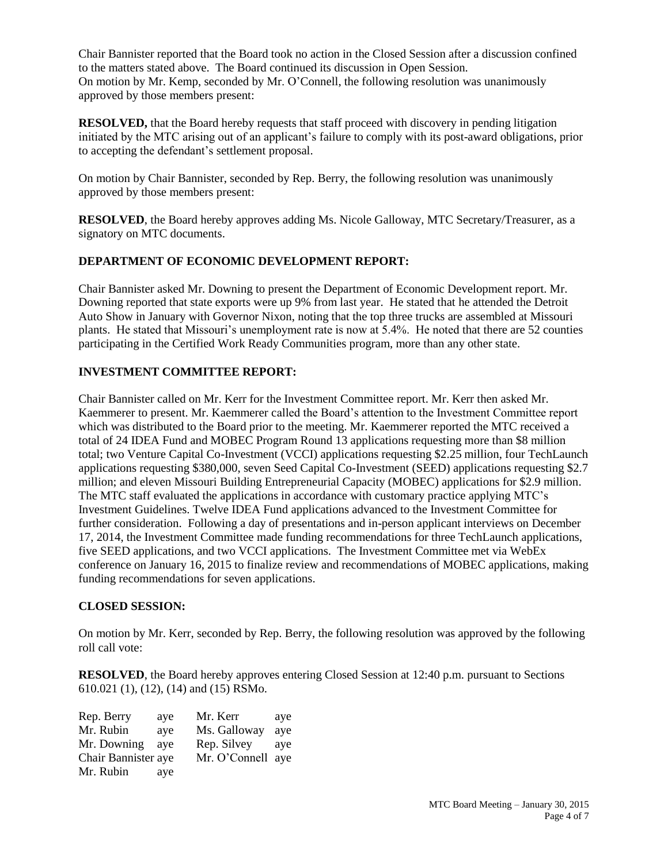Chair Bannister reported that the Board took no action in the Closed Session after a discussion confined to the matters stated above. The Board continued its discussion in Open Session. On motion by Mr. Kemp, seconded by Mr. O'Connell, the following resolution was unanimously approved by those members present:

**RESOLVED,** that the Board hereby requests that staff proceed with discovery in pending litigation initiated by the MTC arising out of an applicant's failure to comply with its post-award obligations, prior to accepting the defendant's settlement proposal.

On motion by Chair Bannister, seconded by Rep. Berry, the following resolution was unanimously approved by those members present:

**RESOLVED**, the Board hereby approves adding Ms. Nicole Galloway, MTC Secretary/Treasurer, as a signatory on MTC documents.

## **DEPARTMENT OF ECONOMIC DEVELOPMENT REPORT:**

Chair Bannister asked Mr. Downing to present the Department of Economic Development report. Mr. Downing reported that state exports were up 9% from last year. He stated that he attended the Detroit Auto Show in January with Governor Nixon, noting that the top three trucks are assembled at Missouri plants. He stated that Missouri's unemployment rate is now at 5.4%. He noted that there are 52 counties participating in the Certified Work Ready Communities program, more than any other state.

# **INVESTMENT COMMITTEE REPORT:**

Chair Bannister called on Mr. Kerr for the Investment Committee report. Mr. Kerr then asked Mr. Kaemmerer to present. Mr. Kaemmerer called the Board's attention to the Investment Committee report which was distributed to the Board prior to the meeting. Mr. Kaemmerer reported the MTC received a total of 24 IDEA Fund and MOBEC Program Round 13 applications requesting more than \$8 million total; two Venture Capital Co-Investment (VCCI) applications requesting \$2.25 million, four TechLaunch applications requesting \$380,000, seven Seed Capital Co-Investment (SEED) applications requesting \$2.7 million; and eleven Missouri Building Entrepreneurial Capacity (MOBEC) applications for \$2.9 million. The MTC staff evaluated the applications in accordance with customary practice applying MTC's Investment Guidelines. Twelve IDEA Fund applications advanced to the Investment Committee for further consideration. Following a day of presentations and in-person applicant interviews on December 17, 2014, the Investment Committee made funding recommendations for three TechLaunch applications, five SEED applications, and two VCCI applications. The Investment Committee met via WebEx conference on January 16, 2015 to finalize review and recommendations of MOBEC applications, making funding recommendations for seven applications.

## **CLOSED SESSION:**

On motion by Mr. Kerr, seconded by Rep. Berry, the following resolution was approved by the following roll call vote:

**RESOLVED**, the Board hereby approves entering Closed Session at 12:40 p.m. pursuant to Sections 610.021 (1), (12), (14) and (15) RSMo.

| Rep. Berry          | ave | Mr. Kerr          | aye |
|---------------------|-----|-------------------|-----|
| Mr. Rubin           | ave | Ms. Galloway      | ave |
| Mr. Downing         | ave | Rep. Silvey       | ave |
| Chair Bannister aye |     | Mr. O'Connell aye |     |
| Mr. Rubin           | aye |                   |     |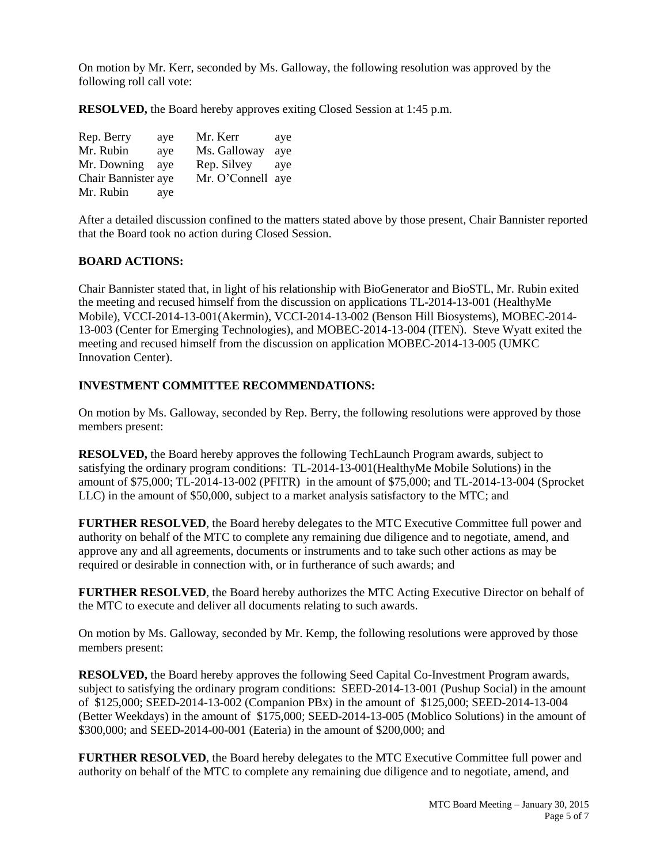On motion by Mr. Kerr, seconded by Ms. Galloway, the following resolution was approved by the following roll call vote:

**RESOLVED,** the Board hereby approves exiting Closed Session at 1:45 p.m.

| Rep. Berry          | ave | Mr. Kerr          | aye |
|---------------------|-----|-------------------|-----|
| Mr. Rubin           | ave | Ms. Galloway      | ave |
| Mr. Downing         | ave | Rep. Silvey       | ave |
| Chair Bannister aye |     | Mr. O'Connell aye |     |
| Mr. Rubin           | aye |                   |     |

After a detailed discussion confined to the matters stated above by those present, Chair Bannister reported that the Board took no action during Closed Session.

### **BOARD ACTIONS:**

Chair Bannister stated that, in light of his relationship with BioGenerator and BioSTL, Mr. Rubin exited the meeting and recused himself from the discussion on applications TL-2014-13-001 (HealthyMe Mobile), VCCI-2014-13-001(Akermin), VCCI-2014-13-002 (Benson Hill Biosystems), MOBEC-2014- 13-003 (Center for Emerging Technologies), and MOBEC-2014-13-004 (ITEN). Steve Wyatt exited the meeting and recused himself from the discussion on application MOBEC-2014-13-005 (UMKC Innovation Center).

### **INVESTMENT COMMITTEE RECOMMENDATIONS:**

On motion by Ms. Galloway, seconded by Rep. Berry, the following resolutions were approved by those members present:

**RESOLVED,** the Board hereby approves the following TechLaunch Program awards, subject to satisfying the ordinary program conditions: TL-2014-13-001(HealthyMe Mobile Solutions) in the amount of \$75,000; TL-2014-13-002 (PFITR) in the amount of \$75,000; and TL-2014-13-004 (Sprocket LLC) in the amount of \$50,000, subject to a market analysis satisfactory to the MTC; and

**FURTHER RESOLVED**, the Board hereby delegates to the MTC Executive Committee full power and authority on behalf of the MTC to complete any remaining due diligence and to negotiate, amend, and approve any and all agreements, documents or instruments and to take such other actions as may be required or desirable in connection with, or in furtherance of such awards; and

**FURTHER RESOLVED**, the Board hereby authorizes the MTC Acting Executive Director on behalf of the MTC to execute and deliver all documents relating to such awards.

On motion by Ms. Galloway, seconded by Mr. Kemp, the following resolutions were approved by those members present:

**RESOLVED,** the Board hereby approves the following Seed Capital Co-Investment Program awards, subject to satisfying the ordinary program conditions: SEED-2014-13-001 (Pushup Social) in the amount of \$125,000; SEED-2014-13-002 (Companion PBx) in the amount of \$125,000; SEED-2014-13-004 (Better Weekdays) in the amount of \$175,000; SEED-2014-13-005 (Moblico Solutions) in the amount of \$300,000; and SEED-2014-00-001 (Eateria) in the amount of \$200,000; and

**FURTHER RESOLVED**, the Board hereby delegates to the MTC Executive Committee full power and authority on behalf of the MTC to complete any remaining due diligence and to negotiate, amend, and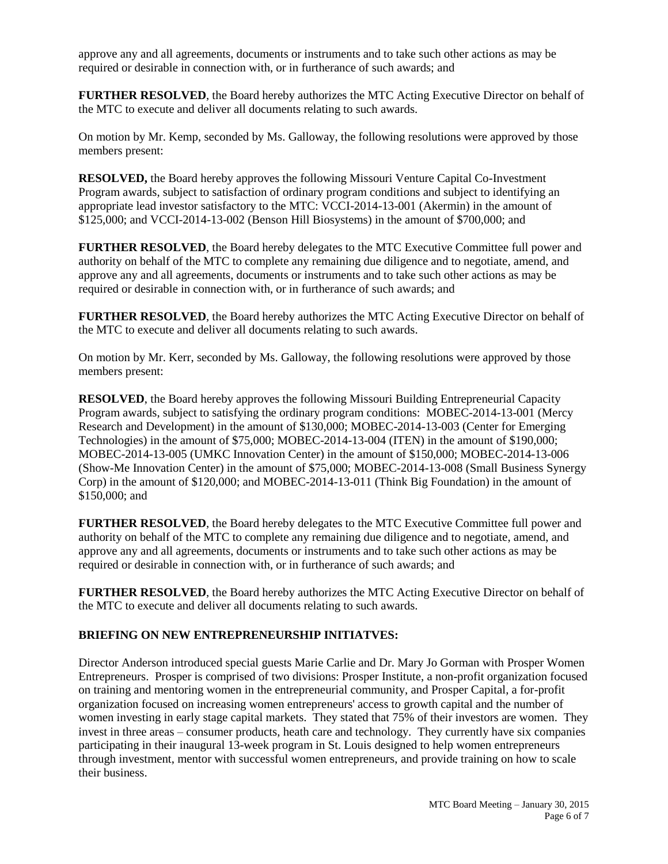approve any and all agreements, documents or instruments and to take such other actions as may be required or desirable in connection with, or in furtherance of such awards; and

**FURTHER RESOLVED**, the Board hereby authorizes the MTC Acting Executive Director on behalf of the MTC to execute and deliver all documents relating to such awards.

On motion by Mr. Kemp, seconded by Ms. Galloway, the following resolutions were approved by those members present:

**RESOLVED,** the Board hereby approves the following Missouri Venture Capital Co-Investment Program awards, subject to satisfaction of ordinary program conditions and subject to identifying an appropriate lead investor satisfactory to the MTC: VCCI-2014-13-001 (Akermin) in the amount of \$125,000; and VCCI-2014-13-002 (Benson Hill Biosystems) in the amount of \$700,000; and

**FURTHER RESOLVED**, the Board hereby delegates to the MTC Executive Committee full power and authority on behalf of the MTC to complete any remaining due diligence and to negotiate, amend, and approve any and all agreements, documents or instruments and to take such other actions as may be required or desirable in connection with, or in furtherance of such awards; and

**FURTHER RESOLVED**, the Board hereby authorizes the MTC Acting Executive Director on behalf of the MTC to execute and deliver all documents relating to such awards.

On motion by Mr. Kerr, seconded by Ms. Galloway, the following resolutions were approved by those members present:

**RESOLVED**, the Board hereby approves the following Missouri Building Entrepreneurial Capacity Program awards, subject to satisfying the ordinary program conditions: MOBEC-2014-13-001 (Mercy Research and Development) in the amount of \$130,000; MOBEC-2014-13-003 (Center for Emerging Technologies) in the amount of \$75,000; MOBEC-2014-13-004 (ITEN) in the amount of \$190,000; MOBEC-2014-13-005 (UMKC Innovation Center) in the amount of \$150,000; MOBEC-2014-13-006 (Show-Me Innovation Center) in the amount of \$75,000; MOBEC-2014-13-008 (Small Business Synergy Corp) in the amount of \$120,000; and MOBEC-2014-13-011 (Think Big Foundation) in the amount of \$150,000; and

**FURTHER RESOLVED**, the Board hereby delegates to the MTC Executive Committee full power and authority on behalf of the MTC to complete any remaining due diligence and to negotiate, amend, and approve any and all agreements, documents or instruments and to take such other actions as may be required or desirable in connection with, or in furtherance of such awards; and

**FURTHER RESOLVED**, the Board hereby authorizes the MTC Acting Executive Director on behalf of the MTC to execute and deliver all documents relating to such awards.

### **BRIEFING ON NEW ENTREPRENEURSHIP INITIATVES:**

Director Anderson introduced special guests Marie Carlie and Dr. Mary Jo Gorman with Prosper Women Entrepreneurs. Prosper is comprised of two divisions: Prosper Institute, a non-profit organization focused on training and mentoring women in the entrepreneurial community, and Prosper Capital, a for-profit organization focused on increasing women entrepreneurs' access to growth capital and the number of women investing in early stage capital markets. They stated that 75% of their investors are women. They invest in three areas – consumer products, heath care and technology. They currently have six companies participating in their inaugural 13-week program in St. Louis designed to help women entrepreneurs through investment, mentor with successful women entrepreneurs, and provide training on how to scale their business.